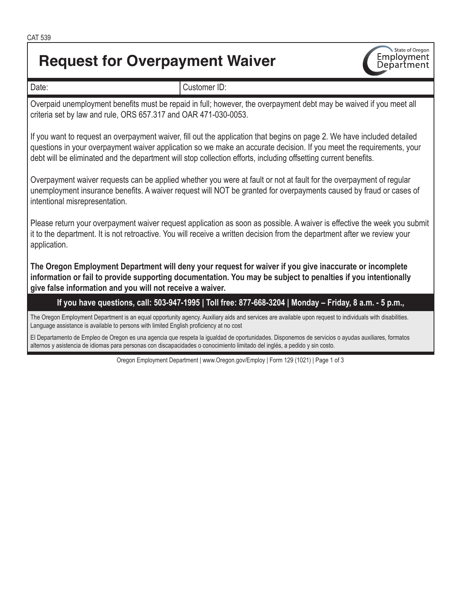# **Request for Overpayment Waiver**



| Date:                                                                                                                                                                                                                                                                                                                                                              | Customer ID:                                                                                                                                              |  |  |  |  |
|--------------------------------------------------------------------------------------------------------------------------------------------------------------------------------------------------------------------------------------------------------------------------------------------------------------------------------------------------------------------|-----------------------------------------------------------------------------------------------------------------------------------------------------------|--|--|--|--|
| Overpaid unemployment benefits must be repaid in full; however, the overpayment debt may be waived if you meet all<br>criteria set by law and rule, ORS 657.317 and OAR 471-030-0053.                                                                                                                                                                              |                                                                                                                                                           |  |  |  |  |
| If you want to request an overpayment waiver, fill out the application that begins on page 2. We have included detailed<br>questions in your overpayment waiver application so we make an accurate decision. If you meet the requirements, your<br>debt will be eliminated and the department will stop collection efforts, including offsetting current benefits. |                                                                                                                                                           |  |  |  |  |
| Overpayment waiver requests can be applied whether you were at fault or not at fault for the overpayment of regular<br>unemployment insurance benefits. A waiver request will NOT be granted for overpayments caused by fraud or cases of<br>intentional misrepresentation.                                                                                        |                                                                                                                                                           |  |  |  |  |
| Please return your overpayment waiver request application as soon as possible. A waiver is effective the week you submit<br>it to the department. It is not retroactive. You will receive a written decision from the department after we review your<br>application.                                                                                              |                                                                                                                                                           |  |  |  |  |
| The Oregon Employment Department will deny your request for waiver if you give inaccurate or incomplete<br>information or fail to provide supporting documentation. You may be subject to penalties if you intentionally<br>give false information and you will not receive a waiver.                                                                              |                                                                                                                                                           |  |  |  |  |
|                                                                                                                                                                                                                                                                                                                                                                    | If you have questions, call: 503-947-1995   Toll free: 877-668-3204   Monday - Friday, 8 a.m. - 5 p.m.,                                                   |  |  |  |  |
| Language assistance is available to persons with limited English proficiency at no cost                                                                                                                                                                                                                                                                            | The Oregon Employment Department is an equal opportunity agency. Auxiliary aids and services are available upon request to individuals with disabilities. |  |  |  |  |
| El Departamento de Empleo de Oregon es una agencia que respeta la igualdad de oportunidades. Disponemos de servicios o ayudas auxiliares, formatos<br>alternos y asistencia de idiomas para personas con discapacidades o conocimiento limitado del inglés, a pedido y sin costo.                                                                                  |                                                                                                                                                           |  |  |  |  |
|                                                                                                                                                                                                                                                                                                                                                                    | Oregon Employment Department   www.Oregon.gov/Employ   Form 129 (1021)   Page 1 of 3                                                                      |  |  |  |  |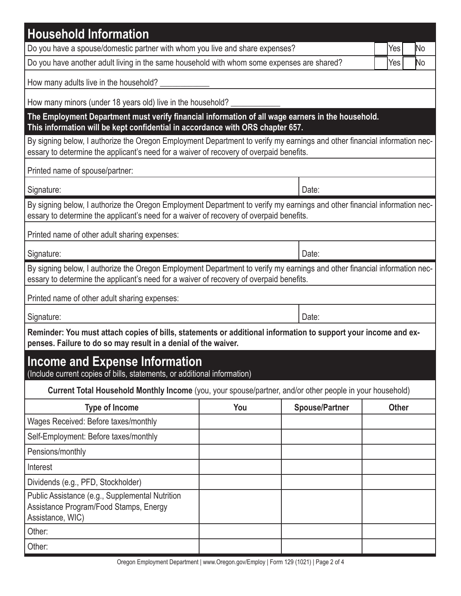| <b>Household Information</b>                                                                                                                                                                                         |           |                       |              |  |  |  |  |
|----------------------------------------------------------------------------------------------------------------------------------------------------------------------------------------------------------------------|-----------|-----------------------|--------------|--|--|--|--|
| Do you have a spouse/domestic partner with whom you live and share expenses?                                                                                                                                         |           |                       | No<br>Yes    |  |  |  |  |
| Do you have another adult living in the same household with whom some expenses are shared?                                                                                                                           | No<br>Yes |                       |              |  |  |  |  |
| How many adults live in the household?                                                                                                                                                                               |           |                       |              |  |  |  |  |
| How many minors (under 18 years old) live in the household?                                                                                                                                                          |           |                       |              |  |  |  |  |
| The Employment Department must verify financial information of all wage earners in the household.<br>This information will be kept confidential in accordance with ORS chapter 657.                                  |           |                       |              |  |  |  |  |
| By signing below, I authorize the Oregon Employment Department to verify my earnings and other financial information nec-<br>essary to determine the applicant's need for a waiver of recovery of overpaid benefits. |           |                       |              |  |  |  |  |
| Printed name of spouse/partner:                                                                                                                                                                                      |           |                       |              |  |  |  |  |
| Signature:                                                                                                                                                                                                           | Date:     |                       |              |  |  |  |  |
| By signing below, I authorize the Oregon Employment Department to verify my earnings and other financial information nec-<br>essary to determine the applicant's need for a waiver of recovery of overpaid benefits. |           |                       |              |  |  |  |  |
| Printed name of other adult sharing expenses:                                                                                                                                                                        |           |                       |              |  |  |  |  |
| Signature:                                                                                                                                                                                                           |           | Date:                 |              |  |  |  |  |
| By signing below, I authorize the Oregon Employment Department to verify my earnings and other financial information nec-<br>essary to determine the applicant's need for a waiver of recovery of overpaid benefits. |           |                       |              |  |  |  |  |
| Printed name of other adult sharing expenses:                                                                                                                                                                        |           |                       |              |  |  |  |  |
| Signature:                                                                                                                                                                                                           | Date:     |                       |              |  |  |  |  |
| Reminder: You must attach copies of bills, statements or additional information to support your income and ex-<br>penses. Failure to do so may result in a denial of the waiver.                                     |           |                       |              |  |  |  |  |
| <b>Income and Expense Information</b><br>(Include current copies of bills, statements, or additional information)                                                                                                    |           |                       |              |  |  |  |  |
| Current Total Household Monthly Income (you, your spouse/partner, and/or other people in your household)                                                                                                             |           |                       |              |  |  |  |  |
| <b>Type of Income</b>                                                                                                                                                                                                | You       | <b>Spouse/Partner</b> | <b>Other</b> |  |  |  |  |
| Wages Received: Before taxes/monthly                                                                                                                                                                                 |           |                       |              |  |  |  |  |
| Self-Employment: Before taxes/monthly                                                                                                                                                                                |           |                       |              |  |  |  |  |
| Pensions/monthly                                                                                                                                                                                                     |           |                       |              |  |  |  |  |
| Interest                                                                                                                                                                                                             |           |                       |              |  |  |  |  |
| Dividends (e.g., PFD, Stockholder)                                                                                                                                                                                   |           |                       |              |  |  |  |  |
| Public Assistance (e.g., Supplemental Nutrition<br>Assistance Program/Food Stamps, Energy<br>Assistance, WIC)                                                                                                        |           |                       |              |  |  |  |  |
| Other:                                                                                                                                                                                                               |           |                       |              |  |  |  |  |
| Other:                                                                                                                                                                                                               |           |                       |              |  |  |  |  |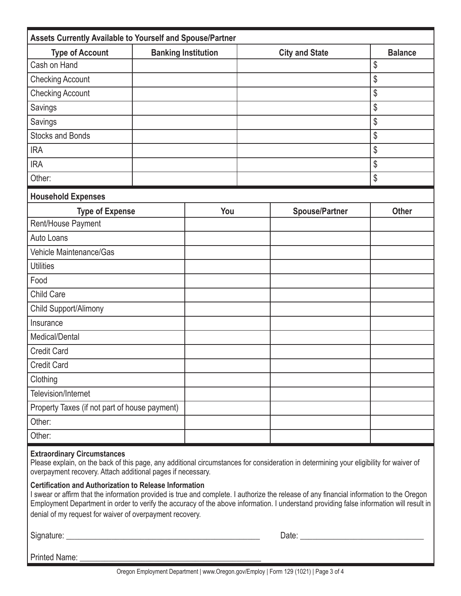| Assets Currently Available to Yourself and Spouse/Partner |                            |     |                       |                       |                |  |  |  |
|-----------------------------------------------------------|----------------------------|-----|-----------------------|-----------------------|----------------|--|--|--|
| <b>Type of Account</b>                                    | <b>Banking Institution</b> |     | <b>City and State</b> |                       | <b>Balance</b> |  |  |  |
| Cash on Hand                                              |                            |     |                       |                       | \$             |  |  |  |
| <b>Checking Account</b>                                   |                            |     |                       |                       | \$             |  |  |  |
| <b>Checking Account</b>                                   |                            |     |                       |                       | \$             |  |  |  |
| Savings                                                   |                            |     |                       |                       | \$             |  |  |  |
| Savings                                                   |                            |     |                       |                       | \$             |  |  |  |
| <b>Stocks and Bonds</b>                                   |                            |     |                       |                       | \$             |  |  |  |
| <b>IRA</b>                                                |                            |     |                       |                       | \$             |  |  |  |
| <b>IRA</b>                                                |                            |     |                       |                       | \$             |  |  |  |
| Other:                                                    |                            |     |                       |                       | \$             |  |  |  |
| <b>Household Expenses</b>                                 |                            |     |                       |                       |                |  |  |  |
| <b>Type of Expense</b>                                    |                            | You |                       | <b>Spouse/Partner</b> | <b>Other</b>   |  |  |  |
| Rent/House Payment                                        |                            |     |                       |                       |                |  |  |  |
| Auto Loans                                                |                            |     |                       |                       |                |  |  |  |
| Vehicle Maintenance/Gas                                   |                            |     |                       |                       |                |  |  |  |
| <b>Utilities</b>                                          |                            |     |                       |                       |                |  |  |  |
| Food                                                      |                            |     |                       |                       |                |  |  |  |
| Child Care                                                |                            |     |                       |                       |                |  |  |  |
| Child Support/Alimony                                     |                            |     |                       |                       |                |  |  |  |
| Insurance                                                 |                            |     |                       |                       |                |  |  |  |
| Medical/Dental                                            |                            |     |                       |                       |                |  |  |  |
| <b>Credit Card</b>                                        |                            |     |                       |                       |                |  |  |  |
| <b>Credit Card</b>                                        |                            |     |                       |                       |                |  |  |  |
| Clothing                                                  |                            |     |                       |                       |                |  |  |  |
| Television/Internet                                       |                            |     |                       |                       |                |  |  |  |
| Property Taxes (if not part of house payment)             |                            |     |                       |                       |                |  |  |  |
| Other:                                                    |                            |     |                       |                       |                |  |  |  |
| Other:                                                    |                            |     |                       |                       |                |  |  |  |

#### **Extraordinary Circumstances**

Please explain, on the back of this page, any additional circumstances for consideration in determining your eligibility for waiver of overpayment recovery. Attach additional pages if necessary.

### **Certification and Authorization to Release Information**

I swear or affirm that the information provided is true and complete. I authorize the release of any financial information to the Oregon Employment Department in order to verify the accuracy of the above information. I understand providing false information will result in denial of my request for waiver of overpayment recovery.

Signature: \_\_\_\_\_\_\_\_\_\_\_\_\_\_\_\_\_\_\_\_\_\_\_\_\_\_\_\_\_\_\_\_\_\_\_\_\_\_\_\_\_\_\_\_\_\_\_ Date: \_\_\_\_\_\_\_\_\_\_\_\_\_\_\_\_\_\_\_\_\_\_\_\_\_\_\_\_\_\_